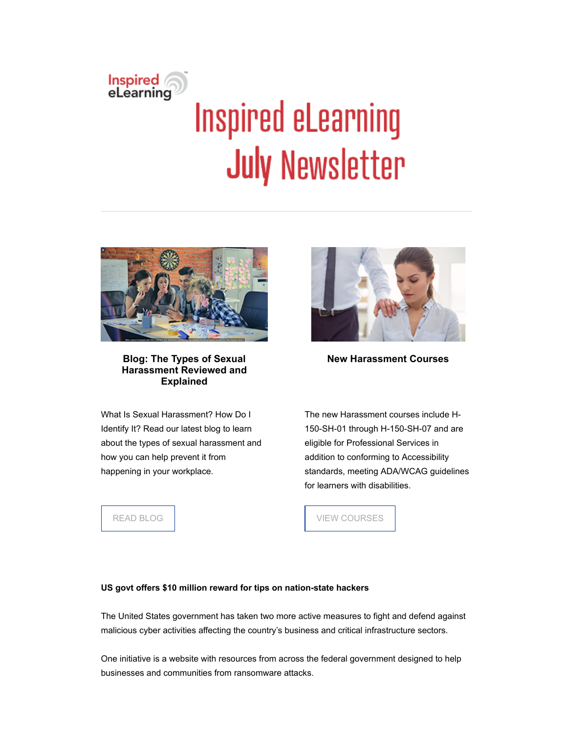

# **Inspired eLearning July Newsletter**



**Blog: The Types of Sexual Harassment Reviewed and Explained**

What Is Sexual Harassment? How Do I Identify It? Read our latest blog to learn about the types of sexual harassment and how you can help prevent it from happening in your workplace.



**New Harassment Courses**

The new Harassment courses include H-150-SH-01 through H-150-SH-07 and are eligible for Professional Services in addition to conforming to Accessibility standards, meeting ADA/WCAG guidelines for learners with disabilities.

[READ BLOG](https://inspiredelearning.com/blog/types-of-sexual-harassment/)

[VIEW COURSES](https://inspiredelearning.com/course-catalog/)

# **US govt offers \$10 million reward for tips on nation-state hackers**

The United States government has taken two more active measures to fight and defend against malicious cyber activities affecting the country's business and critical infrastructure sectors.

One initiative is a website with resources from across the federal government designed to help businesses and communities from ransomware attacks.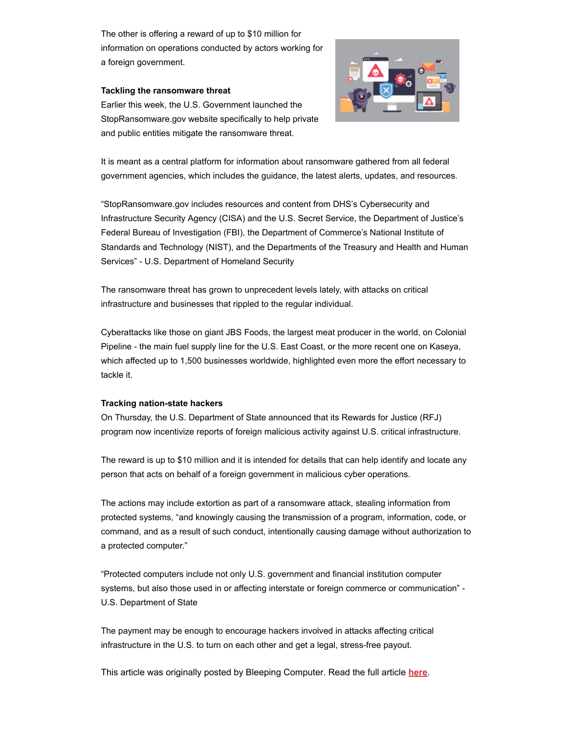The other is offering a reward of up to \$10 million for information on operations conducted by actors working for a foreign government.

# **Tackling the ransomware threat**

Earlier this week, the U.S. Government launched the StopRansomware.gov website specifically to help private and public entities mitigate the ransomware threat.

It is meant as a central platform for information about ransomware gathered from all federal government agencies, which includes the guidance, the latest alerts, updates, and resources.

"StopRansomware.gov includes resources and content from DHS's Cybersecurity and Infrastructure Security Agency (CISA) and the U.S. Secret Service, the Department of Justice's Federal Bureau of Investigation (FBI), the Department of Commerce's National Institute of Standards and Technology (NIST), and the Departments of the Treasury and Health and Human Services" - U.S. Department of Homeland Security

The ransomware threat has grown to unprecedent levels lately, with attacks on critical infrastructure and businesses that rippled to the regular individual.

Cyberattacks like those on giant JBS Foods, the largest meat producer in the world, on Colonial Pipeline - the main fuel supply line for the U.S. East Coast, or the more recent one on Kaseya, which affected up to 1,500 businesses worldwide, highlighted even more the effort necessary to tackle it.

# **Tracking nation-state hackers**

On Thursday, the U.S. Department of State announced that its Rewards for Justice (RFJ) program now incentivize reports of foreign malicious activity against U.S. critical infrastructure.

The reward is up to \$10 million and it is intended for details that can help identify and locate any person that acts on behalf of a foreign government in malicious cyber operations.

The actions may include extortion as part of a ransomware attack, stealing information from protected systems, "and knowingly causing the transmission of a program, information, code, or command, and as a result of such conduct, intentionally causing damage without authorization to a protected computer."

"Protected computers include not only U.S. government and financial institution computer systems, but also those used in or affecting interstate or foreign commerce or communication" - U.S. Department of State

The payment may be enough to encourage hackers involved in attacks affecting critical infrastructure in the U.S. to turn on each other and get a legal, stress-free payout.

This article was originally posted by Bleeping Computer. Read the full article **[here](https://www.bleepingcomputer.com/news/security/us-govt-offers-10-million-reward-for-tips-on-nation-state-hackers/)**.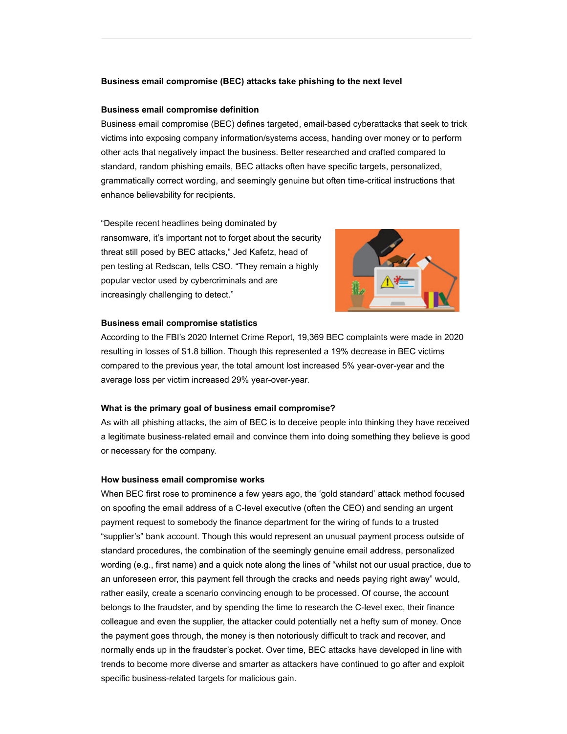# **Business email compromise (BEC) attacks take phishing to the next level**

#### **Business email compromise definition**

Business email compromise (BEC) defines targeted, email-based cyberattacks that seek to trick victims into exposing company information/systems access, handing over money or to perform other acts that negatively impact the business. Better researched and crafted compared to standard, random phishing emails, BEC attacks often have specific targets, personalized, grammatically correct wording, and seemingly genuine but often time-critical instructions that enhance believability for recipients.

"Despite recent headlines being dominated by ransomware, it's important not to forget about the security threat still posed by BEC attacks," Jed Kafetz, head of pen testing at Redscan, tells CSO. "They remain a highly popular vector used by cybercriminals and are increasingly challenging to detect."



#### **Business email compromise statistics**

According to the FBI's 2020 Internet Crime Report, 19,369 BEC complaints were made in 2020 resulting in losses of \$1.8 billion. Though this represented a 19% decrease in BEC victims compared to the previous year, the total amount lost increased 5% year-over-year and the average loss per victim increased 29% year-over-year.

#### **What is the primary goal of business email compromise?**

As with all phishing attacks, the aim of BEC is to deceive people into thinking they have received a legitimate business-related email and convince them into doing something they believe is good or necessary for the company.

# **How business email compromise works**

When BEC first rose to prominence a few years ago, the 'gold standard' attack method focused on spoofing the email address of a C-level executive (often the CEO) and sending an urgent payment request to somebody the finance department for the wiring of funds to a trusted "supplier's" bank account. Though this would represent an unusual payment process outside of standard procedures, the combination of the seemingly genuine email address, personalized wording (e.g., first name) and a quick note along the lines of "whilst not our usual practice, due to an unforeseen error, this payment fell through the cracks and needs paying right away" would, rather easily, create a scenario convincing enough to be processed. Of course, the account belongs to the fraudster, and by spending the time to research the C-level exec, their finance colleague and even the supplier, the attacker could potentially net a hefty sum of money. Once the payment goes through, the money is then notoriously difficult to track and recover, and normally ends up in the fraudster's pocket. Over time, BEC attacks have developed in line with trends to become more diverse and smarter as attackers have continued to go after and exploit specific business-related targets for malicious gain.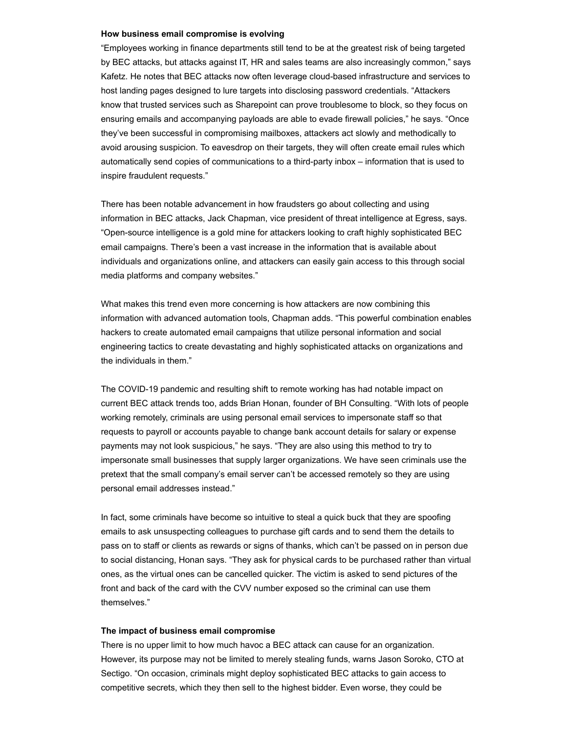#### **How business email compromise is evolving**

"Employees working in finance departments still tend to be at the greatest risk of being targeted by BEC attacks, but attacks against IT, HR and sales teams are also increasingly common," says Kafetz. He notes that BEC attacks now often leverage cloud-based infrastructure and services to host landing pages designed to lure targets into disclosing password credentials. "Attackers know that trusted services such as Sharepoint can prove troublesome to block, so they focus on ensuring emails and accompanying payloads are able to evade firewall policies," he says. "Once they've been successful in compromising mailboxes, attackers act slowly and methodically to avoid arousing suspicion. To eavesdrop on their targets, they will often create email rules which automatically send copies of communications to a third-party inbox – information that is used to inspire fraudulent requests."

There has been notable advancement in how fraudsters go about collecting and using information in BEC attacks, Jack Chapman, vice president of threat intelligence at Egress, says. "Open-source intelligence is a gold mine for attackers looking to craft highly sophisticated BEC email campaigns. There's been a vast increase in the information that is available about individuals and organizations online, and attackers can easily gain access to this through social media platforms and company websites."

What makes this trend even more concerning is how attackers are now combining this information with advanced automation tools, Chapman adds. "This powerful combination enables hackers to create automated email campaigns that utilize personal information and social engineering tactics to create devastating and highly sophisticated attacks on organizations and the individuals in them."

The COVID-19 pandemic and resulting shift to remote working has had notable impact on current BEC attack trends too, adds Brian Honan, founder of BH Consulting. "With lots of people working remotely, criminals are using personal email services to impersonate staff so that requests to payroll or accounts payable to change bank account details for salary or expense payments may not look suspicious," he says. "They are also using this method to try to impersonate small businesses that supply larger organizations. We have seen criminals use the pretext that the small company's email server can't be accessed remotely so they are using personal email addresses instead."

In fact, some criminals have become so intuitive to steal a quick buck that they are spoofing emails to ask unsuspecting colleagues to purchase gift cards and to send them the details to pass on to staff or clients as rewards or signs of thanks, which can't be passed on in person due to social distancing, Honan says. "They ask for physical cards to be purchased rather than virtual ones, as the virtual ones can be cancelled quicker. The victim is asked to send pictures of the front and back of the card with the CVV number exposed so the criminal can use them themselves."

#### **The impact of business email compromise**

There is no upper limit to how much havoc a BEC attack can cause for an organization. However, its purpose may not be limited to merely stealing funds, warns Jason Soroko, CTO at Sectigo. "On occasion, criminals might deploy sophisticated BEC attacks to gain access to competitive secrets, which they then sell to the highest bidder. Even worse, they could be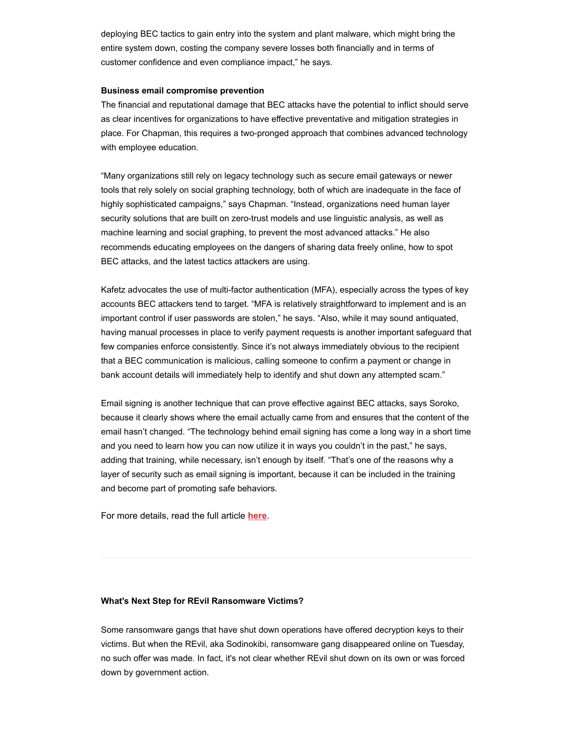deploying BEC tactics to gain entry into the system and plant malware, which might bring the entire system down, costing the company severe losses both financially and in terms of customer confidence and even compliance impact," he says.

# **Business email compromise prevention**

The financial and reputational damage that BEC attacks have the potential to inflict should serve as clear incentives for organizations to have effective preventative and mitigation strategies in place. For Chapman, this requires a two-pronged approach that combines advanced technology with employee education.

"Many organizations still rely on legacy technology such as secure email gateways or newer tools that rely solely on social graphing technology, both of which are inadequate in the face of highly sophisticated campaigns," says Chapman. "Instead, organizations need human layer security solutions that are built on zero-trust models and use linguistic analysis, as well as machine learning and social graphing, to prevent the most advanced attacks." He also recommends educating employees on the dangers of sharing data freely online, how to spot BEC attacks, and the latest tactics attackers are using.

Kafetz advocates the use of multi-factor authentication (MFA), especially across the types of key accounts BEC attackers tend to target. "MFA is relatively straightforward to implement and is an important control if user passwords are stolen," he says. "Also, while it may sound antiquated, having manual processes in place to verify payment requests is another important safeguard that few companies enforce consistently. Since it's not always immediately obvious to the recipient that a BEC communication is malicious, calling someone to confirm a payment or change in bank account details will immediately help to identify and shut down any attempted scam."

Email signing is another technique that can prove effective against BEC attacks, says Soroko, because it clearly shows where the email actually came from and ensures that the content of the email hasn't changed. "The technology behind email signing has come a long way in a short time and you need to learn how you can now utilize it in ways you couldn't in the past," he says, adding that training, while necessary, isn't enough by itself. "That's one of the reasons why a layer of security such as email signing is important, because it can be included in the training and become part of promoting safe behaviors.

For more details, read the full article **[here](https://www.csoonline.com/article/3624674/business-email-compromise-bec-attacks-take-phishing-to-the-next-level.html#jump)**.

# **What's Next Step for REvil Ransomware Victims?**

Some ransomware gangs that have shut down operations have offered decryption keys to their victims. But when the REvil, aka Sodinokibi, ransomware gang disappeared online on Tuesday, no such offer was made. In fact, it's not clear whether REvil shut down on its own or was forced down by government action.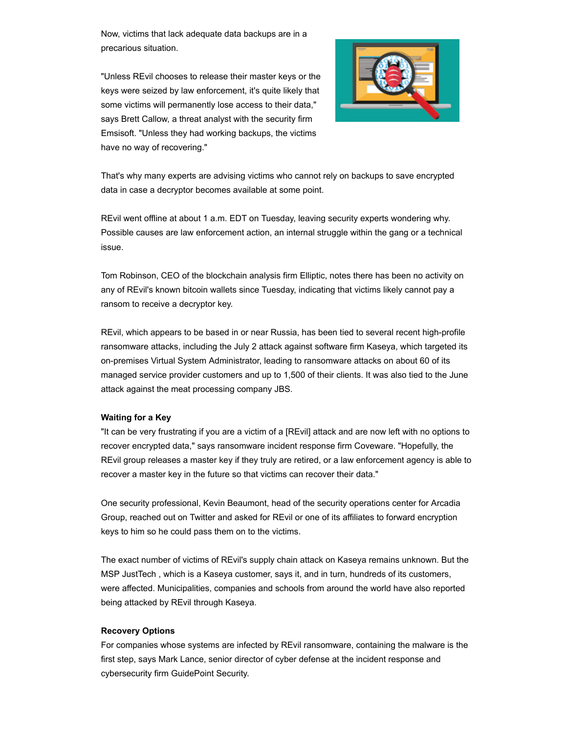Now, victims that lack adequate data backups are in a precarious situation.

"Unless REvil chooses to release their master keys or the keys were seized by law enforcement, it's quite likely that some victims will permanently lose access to their data," says Brett Callow, a threat analyst with the security firm Emsisoft. "Unless they had working backups, the victims have no way of recovering."



That's why many experts are advising victims who cannot rely on backups to save encrypted data in case a decryptor becomes available at some point.

REvil went offline at about 1 a.m. EDT on Tuesday, leaving security experts wondering why. Possible causes are law enforcement action, an internal struggle within the gang or a technical issue.

Tom Robinson, CEO of the blockchain analysis firm Elliptic, notes there has been no activity on any of REvil's known bitcoin wallets since Tuesday, indicating that victims likely cannot pay a ransom to receive a decryptor key.

REvil, which appears to be based in or near Russia, has been tied to several recent high-profile ransomware attacks, including the July 2 attack against software firm Kaseya, which targeted its on-premises Virtual System Administrator, leading to ransomware attacks on about 60 of its managed service provider customers and up to 1,500 of their clients. It was also tied to the June attack against the meat processing company JBS.

# **Waiting for a Key**

"It can be very frustrating if you are a victim of a [REvil] attack and are now left with no options to recover encrypted data," says ransomware incident response firm Coveware. "Hopefully, the REvil group releases a master key if they truly are retired, or a law enforcement agency is able to recover a master key in the future so that victims can recover their data."

One security professional, Kevin Beaumont, head of the security operations center for Arcadia Group, reached out on Twitter and asked for REvil or one of its affiliates to forward encryption keys to him so he could pass them on to the victims.

The exact number of victims of REvil's supply chain attack on Kaseya remains unknown. But the MSP JustTech , which is a Kaseya customer, says it, and in turn, hundreds of its customers, were affected. Municipalities, companies and schools from around the world have also reported being attacked by REvil through Kaseya.

# **Recovery Options**

For companies whose systems are infected by REvil ransomware, containing the malware is the first step, says Mark Lance, senior director of cyber defense at the incident response and cybersecurity firm GuidePoint Security.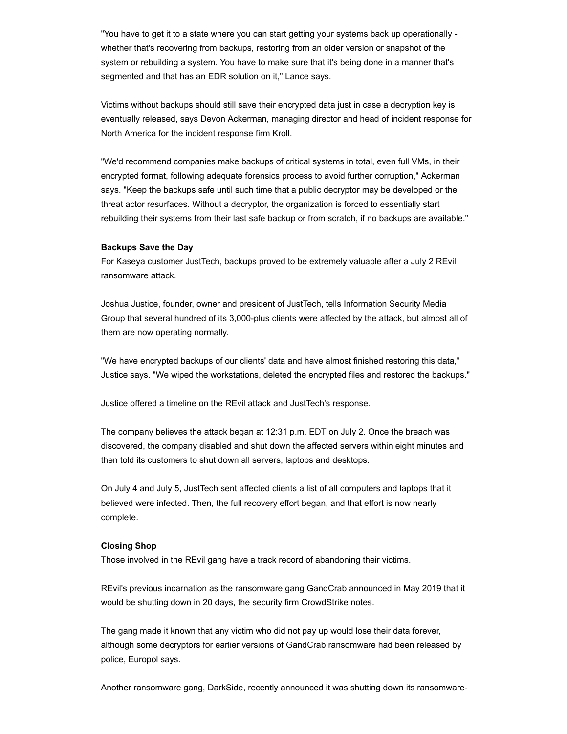"You have to get it to a state where you can start getting your systems back up operationally whether that's recovering from backups, restoring from an older version or snapshot of the system or rebuilding a system. You have to make sure that it's being done in a manner that's segmented and that has an EDR solution on it," Lance says.

Victims without backups should still save their encrypted data just in case a decryption key is eventually released, says Devon Ackerman, managing director and head of incident response for North America for the incident response firm Kroll.

"We'd recommend companies make backups of critical systems in total, even full VMs, in their encrypted format, following adequate forensics process to avoid further corruption," Ackerman says. "Keep the backups safe until such time that a public decryptor may be developed or the threat actor resurfaces. Without a decryptor, the organization is forced to essentially start rebuilding their systems from their last safe backup or from scratch, if no backups are available."

# **Backups Save the Day**

For Kaseya customer JustTech, backups proved to be extremely valuable after a July 2 REvil ransomware attack.

Joshua Justice, founder, owner and president of JustTech, tells Information Security Media Group that several hundred of its 3,000-plus clients were affected by the attack, but almost all of them are now operating normally.

"We have encrypted backups of our clients' data and have almost finished restoring this data," Justice says. "We wiped the workstations, deleted the encrypted files and restored the backups."

Justice offered a timeline on the REvil attack and JustTech's response.

The company believes the attack began at 12:31 p.m. EDT on July 2. Once the breach was discovered, the company disabled and shut down the affected servers within eight minutes and then told its customers to shut down all servers, laptops and desktops.

On July 4 and July 5, JustTech sent affected clients a list of all computers and laptops that it believed were infected. Then, the full recovery effort began, and that effort is now nearly complete.

# **Closing Shop**

Those involved in the REvil gang have a track record of abandoning their victims.

REvil's previous incarnation as the ransomware gang GandCrab announced in May 2019 that it would be shutting down in 20 days, the security firm CrowdStrike notes.

The gang made it known that any victim who did not pay up would lose their data forever, although some decryptors for earlier versions of GandCrab ransomware had been released by police, Europol says.

Another ransomware gang, DarkSide, recently announced it was shutting down its ransomware-